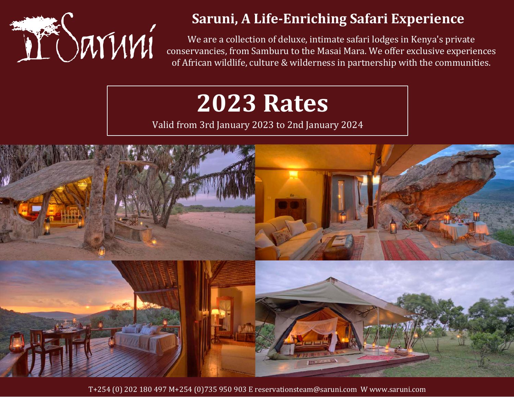

## **Saruni, A Life-Enriching Safari Experience**

We are a collection of deluxe, intimate safari lodges in Kenya's private conservancies, from Samburu to the Masai Mara. We offer exclusive experiences of African wildlife, culture & wilderness in partnership with the communities.

# **2023 Rates**

Valid from 3rd January 2023 to 2nd January 2024

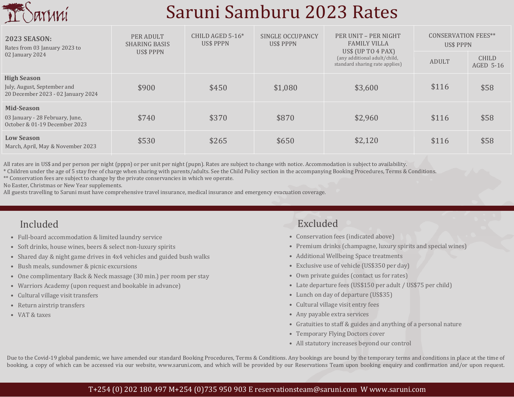

# Saruni Samburu 2023 Rates

| <b>2023 SEASON:</b><br>Rates from 03 January 2023 to<br>02 January 2024                 | PER ADULT<br><b>SHARING BASIS</b><br>US\$ PPPN | CHILD AGED $5-16*$<br>US\$ PPPN | SINGLE OCCUPANCY<br>US\$ PPPN | PER UNIT - PER NIGHT<br><b>FAMILY VILLA</b><br>US\$ (UP TO $4$ PAX)<br>(any additional adult/child,<br>standard sharing rate applies) | <b>CONSERVATION FEES**</b><br>US\$ PPPN |                           |
|-----------------------------------------------------------------------------------------|------------------------------------------------|---------------------------------|-------------------------------|---------------------------------------------------------------------------------------------------------------------------------------|-----------------------------------------|---------------------------|
|                                                                                         |                                                |                                 |                               |                                                                                                                                       | <b>ADULT</b>                            | <b>CHILD</b><br>AGED 5-16 |
| <b>High Season</b><br>July, August, September and<br>20 December 2023 - 02 January 2024 | \$900                                          | \$450                           | \$1,080                       | \$3,600                                                                                                                               | \$116                                   | \$58                      |
| <b>Mid-Season</b><br>03 January - 28 February, June,<br>October & 01-19 December 2023   | \$740                                          | \$370                           | \$870                         | \$2,960                                                                                                                               | \$116                                   | \$58                      |
| <b>Low Season</b><br>March, April, May & November 2023                                  | \$530                                          | \$265                           | \$650                         | \$2,120                                                                                                                               | \$116                                   | \$58                      |

All rates are in US\$ and per person per night (pppn) or per unit per night (pupn). Rates are subject to change with notice. Accommodation is subject to availability.

\* Children under the age of 5 stay free of charge when sharing with parents/adults. See the Child Policy section in the accompanying Booking Procedures, Terms & Conditions.

\*\* Conservation fees are subject to change by the private conservancies in which we operate.

No Easter, Christmas or New Year supplements.

All guests travelling to Saruni must have comprehensive travel insurance, medical insurance and emergency evacuation coverage.

- Full-board accommodation & limited laundry service
- Soft drinks, house wines, beers & select non-luxury spirits
- Shared day & night game drives in 4x4 vehicles and guided bush walks
- Bush meals, sundowner & picnic excursions
- One complimentary Back & Neck massage (30 min.) per room per stay
- Warriors Academy (upon request and bookable in advance)
- Cultural village visit transfers
- Return airstrip transfers
- VAT & taxes

## Included Excluded

- Conservation fees (indicated above)
- Premium drinks (champagne, luxury spirits and special wines)
- Additional Wellbeing Space treatments
- Exclusive use of vehicle (US\$350 per day)
- Own private guides (contact us for rates)
- Late departure fees (US\$150 per adult / US\$75 per child)
- Lunch on day of departure (US\$35)
- Cultural village visit entry fees
- Any payable extra services
- Gratuities to staff & guides and anything of a personal nature
- Temporary Flying Doctors cover
- All statutory increases beyond our control

Due to the Covid-19 global pandemic, we have amended our standard Booking Procedures, Terms & Conditions. Any bookings are bound by the temporary terms and conditions in place at the time of booking, a copy of which can be accessed via our website, www.saruni.com, and which will be provided by our Reservations Team upon booking enquiry and confirmation and/or upon request.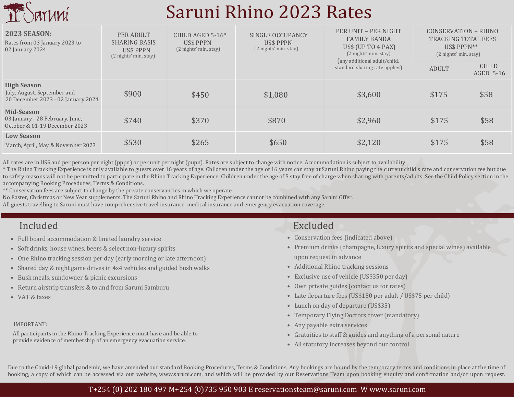

# Saruni Rhino 2023 Rates

| <b>2023 SEASON:</b><br>Rates from 03 January 2023 to<br>02 January 2024                 | PER ADULT<br><b>SHARING BASIS</b><br>US\$ PPPN<br>$(2$ nights' min. stay) | CHILD AGED $5-16*$<br>US\$ PPPN<br>(2 nights' min. stay) | SINGLE OCCUPANCY<br>US\$ PPPN<br>(2 nights' min. stay) | PER UNIT - PER NIGHT<br><b>FAMILY BANDA</b><br>US\$ (UP TO 4 PAX)<br>(2 nights' min. stay) | (2 nights' min. stay) | <b>CONSERVATION + RHINO</b><br><b>TRACKING TOTAL FEES</b><br>$USS$ PPPN $**$ |  |
|-----------------------------------------------------------------------------------------|---------------------------------------------------------------------------|----------------------------------------------------------|--------------------------------------------------------|--------------------------------------------------------------------------------------------|-----------------------|------------------------------------------------------------------------------|--|
|                                                                                         |                                                                           |                                                          |                                                        | (any additional adult/child,<br>standard sharing rate applies)                             | <b>ADULT</b>          | <b>CHILD</b><br><b>AGED 5-16</b>                                             |  |
| <b>High Season</b><br>July, August, September and<br>20 December 2023 - 02 January 2024 | \$900                                                                     | \$450                                                    | \$1,080                                                | \$3,600                                                                                    | \$175                 | \$58                                                                         |  |
| Mid-Season<br>03 January - 28 February, June,<br>October & 01-19 December 2023          | \$740                                                                     | \$370                                                    | \$870                                                  | \$2,960                                                                                    | \$175                 | \$58                                                                         |  |
| <b>Low Season</b><br>March, April, May & November 2023                                  | \$530                                                                     | \$265                                                    | \$650                                                  | \$2,120                                                                                    | \$175                 | \$58                                                                         |  |

All rates are in US\$ and per person per night (pppn) or per unit per night (pupn). Rates are subject to change with notice. Accommodation is subject to availability.

\* The Rhino Tracking Experience is only available to guests over 16 years of age. Children under the age of 16 years can stay at Saruni Rhino paying the current child's rate and conservation fee but due to safety reasons will not be permitted to participate in the Rhino Tracking Experience. Children under the age of 5 stay free of charge when sharing with parents/adults. See the Child Policy section in the accompanying Booking Procedures, Terms & Conditions.

\*\* Conservation fees are subject to change by the private conservancies in which we operate.

No Easter, Christmas or New Year supplements. The Saruni Rhino and Rhino Tracking Experience cannot be combined with any Saruni Offer.

All guests travelling to Saruni must have comprehensive travel insurance, medical insurance and emergency evacuation coverage.

## Included Excluded

- Full board accommodation & limited laundry service
- Soft drinks, house wines, beers & select non-luxury spirits
- One Rhino tracking session per day (early morning or late afternoon)
- Shared day & night game drives in 4x4 vehicles and guided bush walks
- Bush meals, sundowner & picnic excursions
- Return airstrip transfers & to and from Saruni Samburu
- VAT & taxes

### IMPORTANT:

All participants in the Rhino Tracking Experience must have and be able to provide evidence of membership of an emergency evacuation service.

- Conservation fees (indicated above)
- Premium drinks (champagne, luxury spirits and special wines) available upon request in advance
- Additional Rhino tracking sessions
- Exclusive use of vehicle (US\$350 per day)
- Own private guides (contact us for rates)
- Late departure fees (US\$150 per adult / US\$75 per child)
- Lunch on day of departure (US\$35)
- Temporary Flying Doctors cover (mandatory)
- Any payable extra services
- Gratuities to staff & guides and anything of a personal nature
- All statutory increases beyond our control

Due to the Covid-19 global pandemic, we have amended our standard Booking Procedures, Terms & Conditions. Any bookings are bound by the temporary terms and conditions in place at the time of booking, a copy of which can be accessed via our website, www.saruni.com, and which will be provided by our Reservations Team upon booking enquiry and confirmation and/or upon request.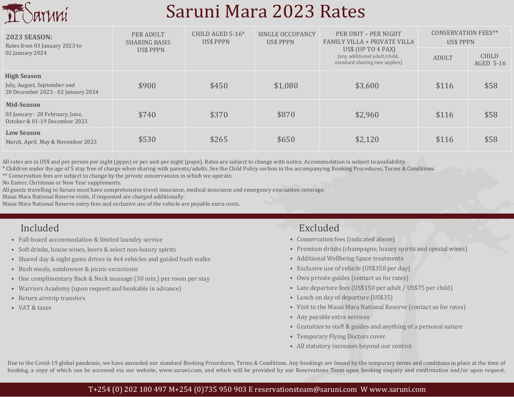

# Saruni Mara 2023 Rates

| <b>2023 SEASON:</b><br>Rates from 03 January 2023 to<br>02 January 2024                 | PER ADULT<br><b>SHARING BASIS</b><br><b>US\$ PPPN</b> | CHILD AGED $5-16*$<br>US\$ PPPN | SINGLE OCCUPANCY<br><b>US\$ PPPN</b> | PER UNIT - PER NIGHT<br><b>FAMILY VILLA + PRIVATE VILLA</b>                            | <b>CONSERVATION FEES**</b><br>US\$ PPPN |                           |
|-----------------------------------------------------------------------------------------|-------------------------------------------------------|---------------------------------|--------------------------------------|----------------------------------------------------------------------------------------|-----------------------------------------|---------------------------|
|                                                                                         |                                                       |                                 |                                      | US\$ (UP TO $4$ PAX)<br>(any additional adult/child,<br>standard sharing rate applies) | <b>ADULT</b>                            | <b>CHILD</b><br>AGED 5-16 |
| <b>High Season</b><br>July, August, September and<br>20 December 2023 - 02 January 2024 | \$900                                                 | \$450                           | \$1,080                              | \$3,600                                                                                | \$116                                   | \$58                      |
| Mid-Season<br>03 January - 28 February, June,<br>October & 01-19 December 2023          | \$740                                                 | \$370                           | \$870                                | \$2,960                                                                                | \$116                                   | \$58                      |
| <b>Low Season</b><br>March, April, May & November 2023                                  | \$530                                                 | \$265                           | \$650                                | \$2,120                                                                                | \$116                                   | \$58                      |

All rates are in US\$ and per person per night (pppn) or per unit per night (pupn). Rates are subject to change with notice. Accommodation is subject to availability.

\* Children under the age of 5 stay free of charge when sharing with parents/adults. See the Child Policy section in the accompanying Booking Procedures, Terms & Conditions.

\*\* Conservation fees are subject to change by the private conservancies in which we operate.

No Easter, Christmas or New Year supplements.

All guests travelling to Saruni must have comprehensive travel insurance, medical insurance and emergency evacuation coverage.

Masai Mara National Reserve visits, if requested are charged additionally.

Masai Mara National Reserve entry fees and exclusive use of the vehicle are payable extra costs.

- Full-board accommodation & limited laundry service
- Soft drinks, house wines, beers & select non-luxury spirits
- Shared day & night game drives in 4x4 vehicles and guided bush walks
- Bush meals, sundowner & picnic excursions
- One complimentary Back & Neck massage (30 min.) per room per stay
- Warriors Academy (upon request and bookable in advance)
- Return airstrip transfers
- VAT & taxes

## Included Excluded

- Conservation fees (indicated above)
- Premium drinks (champagne, luxury spirits and special wines)
- Additional Wellbeing Space treatments
- Exclusive use of vehicle (US\$350 per day)
- Own private guides (contact us for rates)
- Late departure fees (US\$150 per adult / US\$75 per child)
- Lunch on day of departure (US\$35)
- Visit to the Masai Mara National Reserve (contact us for rates)
- Any payable extra services
- Gratuities to staff & guides and anything of a personal nature
- Temporary Flying Doctors cover
- All statutory increases beyond our control

Due to the Covid-19 global pandemic, we have amended our standard Booking Procedures, Terms & Conditions. Any bookings are bound by the temporary terms and conditions in place at the time of booking, a copy of which can be accessed via our website, www.saruni.com, and which will be provided by our Reservations Team upon booking enquiry and confirmation and/or upon request.